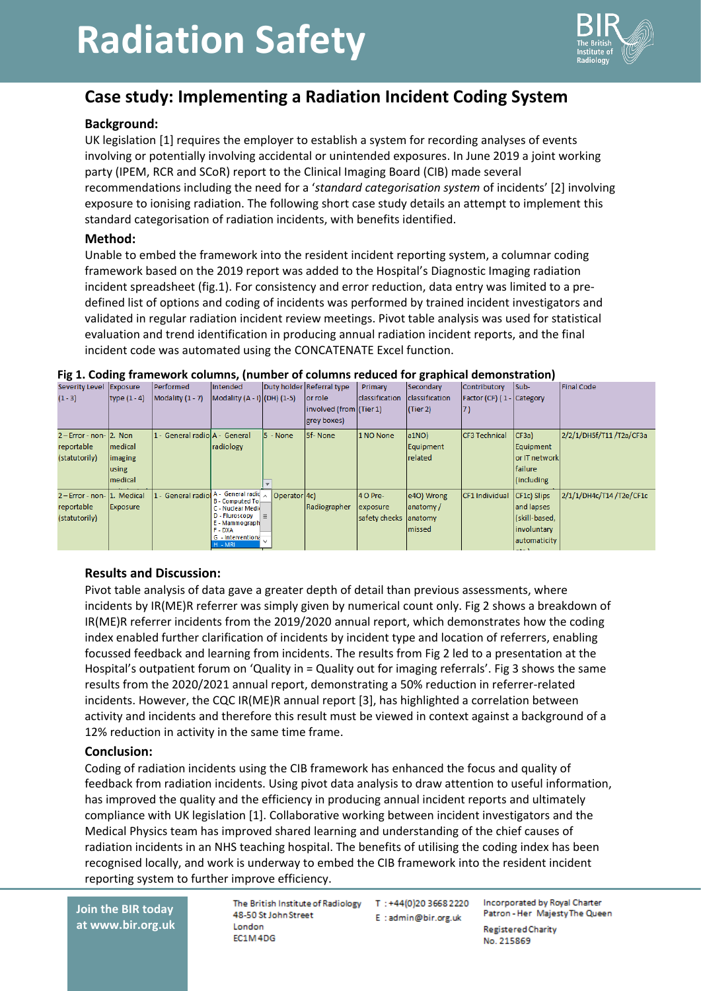# **Radiation Safety**



## **Case study: Implementing a Radiation Incident Coding System**

#### **Background:**

UK legislation [1] requires the employer to establish a system for recording analyses of events involving or potentially involving accidental or unintended exposures. In June 2019 a joint working party (IPEM, RCR and SCoR) report to the Clinical Imaging Board (CIB) made several recommendations including the need for a '*standard categorisation system* of incidents' [2] involving exposure to ionising radiation. The following short case study details an attempt to implement this standard categorisation of radiation incidents, with benefits identified.

#### **Method:**

Unable to embed the framework into the resident incident reporting system, a columnar coding framework based on the 2019 report was added to the Hospital's Diagnostic Imaging radiation incident spreadsheet (fig.1). For consistency and error reduction, data entry was limited to a predefined list of options and coding of incidents was performed by trained incident investigators and validated in regular radiation incident review meetings. Pivot table analysis was used for statistical evaluation and trend identification in producing annual radiation incident reports, and the final incident code was automated using the CONCATENATE Excel function.

#### **Fig 1. Coding framework columns, (number of columns reduced for graphical demonstration)**

|  | Severity Level Exposure      |                 | Performed                      | Intended                                     |              | Duty holder Referral type | Primary        | Secondary      | Contributory              | Sub-                       | <b>Final Code</b>       |
|--|------------------------------|-----------------|--------------------------------|----------------------------------------------|--------------|---------------------------|----------------|----------------|---------------------------|----------------------------|-------------------------|
|  | $(1 - 3)$                    | type $(1 - 4)$  | $Modality (1 - 7)$             | Modality $(A - I)(DH)(1-5)$                  |              | or role                   | classification | classification | Factor (CF) (1 - Category |                            |                         |
|  |                              |                 |                                |                                              |              | involved (from (Tier 1)   |                | (Tier 2)       | 17)                       |                            |                         |
|  |                              |                 |                                |                                              |              | grey boxes)               |                |                |                           |                            |                         |
|  | $2$ – Error - non- $2$ . Non |                 | 1 - General radiol A - General |                                              | $5 - None$   | 5f-None                   | 1 NO None      | $ a1NO\rangle$ | CF3 Technical             | CF3a)                      | 2/2/1/DH5f/T11/T2a/CF3a |
|  | reportable                   | medical         |                                | radiology                                    |              |                           |                | Equipment      |                           | Equipment                  |                         |
|  | (statutorily)                | imaging         |                                |                                              |              |                           |                | related        |                           | or IT network              |                         |
|  |                              | using           |                                |                                              |              |                           |                |                |                           | failure                    |                         |
|  |                              | medical         |                                |                                              |              |                           |                |                |                           | (including)                |                         |
|  | 2-Error - non- 1. Medical    |                 | General radio                  | A - General radio                            | Operator 4c) |                           | 4 O Pre-       | e4O) Wrong     | CF1 Individual            | CF1c) Slips                | 2/1/1/DH4c/T14/T2e/CF1c |
|  | reportable                   | <b>Exposure</b> |                                | <b>B</b> - Computed To.<br>C - Nuclear Medic |              | Radiographer              | exposure       | anatomy/       |                           | and lapses                 |                         |
|  | (statutorily)                |                 |                                | D - Fluroscopy                               | $=$          |                           | safety checks  | anatomy        |                           | (skill-based,              |                         |
|  |                              |                 |                                | E - Mammograph<br>F-DXA                      |              |                           |                | lmissed        |                           | involuntary                |                         |
|  |                              |                 |                                | G - Interventiona                            |              |                           |                |                |                           | automaticity               |                         |
|  |                              |                 |                                | H - MRI                                      |              |                           |                |                |                           | <b>Service Controllers</b> |                         |

#### **Results and Discussion:**

Pivot table analysis of data gave a greater depth of detail than previous assessments, where incidents by IR(ME)R referrer was simply given by numerical count only. Fig 2 shows a breakdown of IR(ME)R referrer incidents from the 2019/2020 annual report, which demonstrates how the coding index enabled further clarification of incidents by incident type and location of referrers, enabling focussed feedback and learning from incidents. The results from Fig 2 led to a presentation at the Hospital's outpatient forum on 'Quality in = Quality out for imaging referrals'. Fig 3 shows the same results from the 2020/2021 annual report, demonstrating a 50% reduction in referrer-related incidents. However, the CQC IR(ME)R annual report [3], has highlighted a correlation between activity and incidents and therefore this result must be viewed in context against a background of a 12% reduction in activity in the same time frame.

#### **Conclusion:**

Coding of radiation incidents using the CIB framework has enhanced the focus and quality of feedback from radiation incidents. Using pivot data analysis to draw attention to useful information, has improved the quality and the efficiency in producing annual incident reports and ultimately compliance with UK legislation [1]. Collaborative working between incident investigators and the Medical Physics team has improved shared learning and understanding of the chief causes of radiation incidents in an NHS teaching hospital. The benefits of utilising the coding index has been recognised locally, and work is underway to embed the CIB framework into the resident incident reporting system to further improve efficiency.

**Join the BIR today at www.bir.org.uk** The British Institute of Radiology T: +44(0)20 3668 2220 48-50 St John Street London FC1M4DG

E:admin@bir.org.uk

Incorporated by Royal Charter Patron - Her Majesty The Queen **Registered Charity** No. 215869